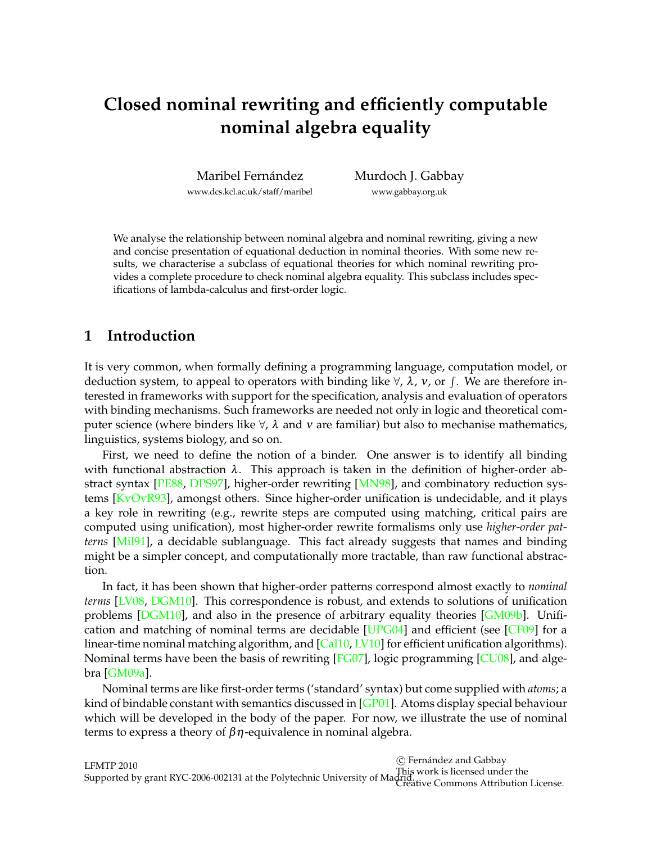# **Closed nominal rewriting and efficiently computable nominal algebra equality**

Maribel Fernández [www.dcs.kcl.ac.uk/staff/maribel](http://www.dcs.kcl.ac.uk/staff/maribel) [Murdoch J. Gabbay](http://www.gabbay.org.uk) [www.gabbay.org.uk](http://www.gabbay.org.uk)

We analyse the relationship between nominal algebra and nominal rewriting, giving a new and concise presentation of equational deduction in nominal theories. With some new results, we characterise a subclass of equational theories for which nominal rewriting provides a complete procedure to check nominal algebra equality. This subclass includes specifications of lambda-calculus and first-order logic.

# **1 Introduction**

It is very common, when formally defining a programming language, computation model, or deduction system, to appeal to operators with binding like  $\forall$ ,  $\lambda$ ,  $v$ , or  $\int$ . We are therefore interested in frameworks with support for the specification, analysis and evaluation of operators with binding mechanisms. Such frameworks are needed not only in logic and theoretical computer science (where binders like  $\forall$ ,  $\lambda$  and  $\nu$  are familiar) but also to mechanise mathematics, linguistics, systems biology, and so on.

First, we need to define the notion of a binder. One answer is to identify all binding with functional abstraction  $\lambda$ . This approach is taken in the definition of higher-order abstract syntax [\[PE88,](#page-14-0) [DPS97\]](#page-14-1), higher-order rewriting [\[MN98\]](#page-14-2), and combinatory reduction systems [\[KvOvR93\]](#page-14-3), amongst others. Since higher-order unification is undecidable, and it plays a key role in rewriting (e.g., rewrite steps are computed using matching, critical pairs are computed using unification), most higher-order rewrite formalisms only use *higher-order patterns* [\[Mil91\]](#page-14-4), a decidable sublanguage. This fact already suggests that names and binding might be a simpler concept, and computationally more tractable, than raw functional abstraction.

In fact, it has been shown that higher-order patterns correspond almost exactly to *nominal terms* [\[LV08,](#page-14-5) [DGM10\]](#page-14-6). This correspondence is robust, and extends to solutions of unification problems [\[DGM10\]](#page-14-6), and also in the presence of arbitrary equality theories [\[GM09b\]](#page-14-7). Unification and matching of nominal terms are decidable [\[UPG04\]](#page-14-8) and efficient (see [\[CF09\]](#page-13-0) for a linear-time nominal matching algorithm, and  $\left[$ Cal10, [LV10\]](#page-14-9) for efficient unification algorithms). Nominal terms have been the basis of rewriting [\[FG07\]](#page-14-10), logic programming [\[CU08\]](#page-14-11), and algebra [\[GM09a\]](#page-14-12).

Nominal terms are like first-order terms ('standard' syntax) but come supplied with *atoms*; a kind of bindable constant with semantics discussed in  $[GP01]$ . Atoms display special behaviour which will be developed in the body of the paper. For now, we illustrate the use of nominal terms to express a theory of  $βη$ -equivalence in nominal algebra.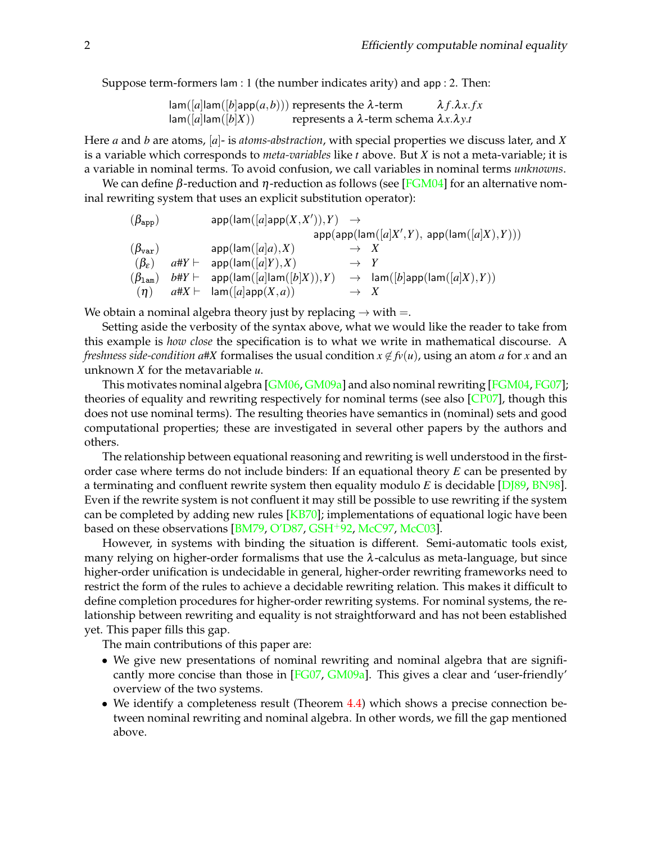Suppose term-formers lam : 1 (the number indicates arity) and app : 2. Then:

$$
lam([a]lam([b]app(a,b)))
$$
 represents the λ-term 
$$
λf.λx.fx
$$
  

$$
lam([a]lam([b]X))
$$
 represents a λ-term schema 
$$
λx.λy.t
$$

Here *a* and *b* are atoms, [*a*]- is *atoms-abstraction*, with special properties we discuss later, and *X* is a variable which corresponds to *meta-variables* like *t* above. But *X* is not a meta-variable; it is a variable in nominal terms. To avoid confusion, we call variables in nominal terms *unknowns*.

We can define β-reduction and η-reduction as follows (see [\[FGM04\]](#page-14-14) for an alternative nominal rewriting system that uses an explicit substitution operator):

$$
\begin{array}{llll} &\qquad (\beta_{\mathrm{app}}) & \qquad \text{app}(\text{lam}([a] \text{app}(X,X')),Y) \rightarrow & \text{app}(\text{app}(\text{lam}([a]X',Y),\, \text{app}(\text{lam}([a]X),Y)))\\ & \qquad (\beta_{\mathrm{var}}) & \qquad \text{app}(\text{lam}([a]a),X) \rightarrow & X \\ & \qquad (\beta_{\varepsilon}) & \qquad \text{a}\#Y \vdash & \text{app}(\text{lam}([a]Y),X) \rightarrow & Y \\ & \qquad (\beta_{\mathrm{lam}}) & \qquad \text{b}\#Y \vdash & \text{app}(\text{lam}([a]\text{lam}([b]X)),Y) \rightarrow & \text{lam}([b]\text{app}(\text{lam}([a]X),Y)) \\ & \qquad (\eta) & \qquad \text{a}\#X \vdash & \text{lam}([a]\text{app}(X,a)) \rightarrow & X \end{array}
$$

We obtain a nominal algebra theory just by replacing  $\rightarrow$  with =.

Setting aside the verbosity of the syntax above, what we would like the reader to take from this example is *how close* the specification is to what we write in mathematical discourse. A *freshness side-condition a*#*X* formalises the usual condition  $x \notin f_v(u)$ , using an atom *a* for *x* and an unknown *X* for the metavariable *u*.

This motivates nominal algebra [\[GM06,](#page-14-15) [GM09a\]](#page-14-12) and also nominal rewriting [\[FGM04,](#page-14-14) [FG07\]](#page-14-10); theories of equality and rewriting respectively for nominal terms (see also  $[CP07]$ , though this does not use nominal terms). The resulting theories have semantics in (nominal) sets and good computational properties; these are investigated in several other papers by the authors and others.

The relationship between equational reasoning and rewriting is well understood in the firstorder case where terms do not include binders: If an equational theory *E* can be presented by a terminating and confluent rewrite system then equality modulo *E* is decidable [\[DJ89,](#page-14-17) [BN98\]](#page-13-2). Even if the rewrite system is not confluent it may still be possible to use rewriting if the system can be completed by adding new rules  $[KB70]$ ; implementations of equational logic have been based on these observations  $[BM79, O'D87, GSH+92, McC97, McC03]$  $[BM79, O'D87, GSH+92, McC97, McC03]$  $[BM79, O'D87, GSH+92, McC97, McC03]$  $[BM79, O'D87, GSH+92, McC97, McC03]$  $[BM79, O'D87, GSH+92, McC97, McC03]$  $[BM79, O'D87, GSH+92, McC97, McC03]$  $[BM79, O'D87, GSH+92, McC97, McC03]$  $[BM79, O'D87, GSH+92, McC97, McC03]$  $[BM79, O'D87, GSH+92, McC97, McC03]$ .

However, in systems with binding the situation is different. Semi-automatic tools exist, many relying on higher-order formalisms that use the  $\lambda$ -calculus as meta-language, but since higher-order unification is undecidable in general, higher-order rewriting frameworks need to restrict the form of the rules to achieve a decidable rewriting relation. This makes it difficult to define completion procedures for higher-order rewriting systems. For nominal systems, the relationship between rewriting and equality is not straightforward and has not been established yet. This paper fills this gap.

The main contributions of this paper are:

- We give new presentations of nominal rewriting and nominal algebra that are significantly more concise than those in [\[FG07,](#page-14-10) [GM09a\]](#page-14-12). This gives a clear and 'user-friendly' overview of the two systems.
- We identify a completeness result (Theorem [4.4\)](#page-7-0) which shows a precise connection between nominal rewriting and nominal algebra. In other words, we fill the gap mentioned above.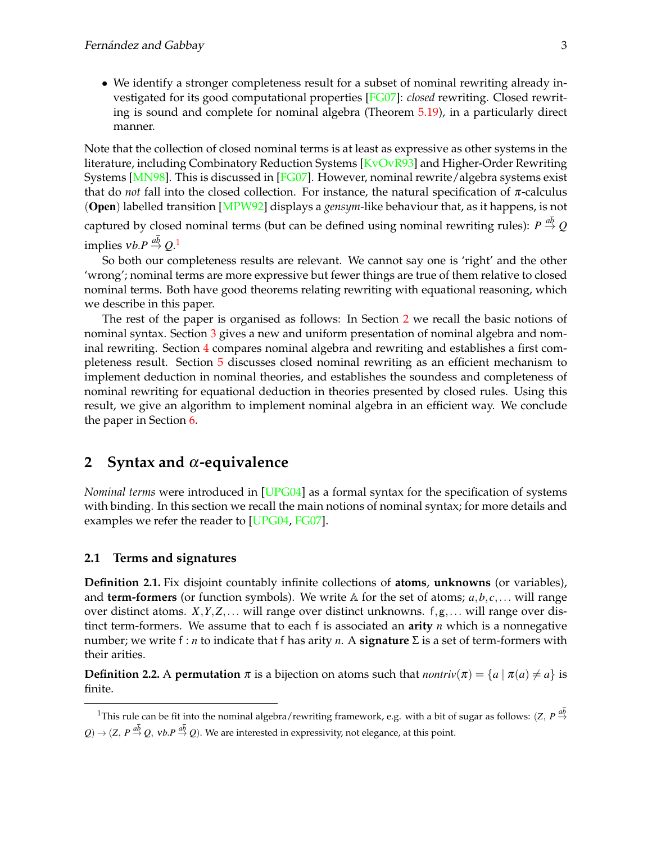• We identify a stronger completeness result for a subset of nominal rewriting already investigated for its good computational properties [\[FG07\]](#page-14-10): *closed* rewriting. Closed rewriting is sound and complete for nominal algebra (Theorem [5.19\)](#page-12-0), in a particularly direct manner.

Note that the collection of closed nominal terms is at least as expressive as other systems in the literature, including Combinatory Reduction Systems [\[KvOvR93\]](#page-14-3) and Higher-Order Rewriting Systems [\[MN98\]](#page-14-2). This is discussed in [\[FG07\]](#page-14-10). However, nominal rewrite/algebra systems exist that do *not* fall into the closed collection. For instance, the natural specification of  $\pi$ -calculus (Open) labelled transition [\[MPW92\]](#page-14-23) displays a *gensym*-like behaviour that, as it happens, is not

captured by closed nominal terms (but can be defined using nominal rewriting rules):  $P\stackrel{ab}{\rightarrow} Q$ implies  $vb.P \stackrel{a\overline{b}}{\rightarrow} Q.^1$  $vb.P \stackrel{a\overline{b}}{\rightarrow} Q.^1$ 

So both our completeness results are relevant. We cannot say one is 'right' and the other 'wrong'; nominal terms are more expressive but fewer things are true of them relative to closed nominal terms. Both have good theorems relating rewriting with equational reasoning, which we describe in this paper.

The rest of the paper is organised as follows: In Section [2](#page-2-1) we recall the basic notions of nominal syntax. Section [3](#page-5-0) gives a new and uniform presentation of nominal algebra and nominal rewriting. Section [4](#page-7-1) compares nominal algebra and rewriting and establishes a first completeness result. Section [5](#page-8-0) discusses closed nominal rewriting as an efficient mechanism to implement deduction in nominal theories, and establishes the soundess and completeness of nominal rewriting for equational deduction in theories presented by closed rules. Using this result, we give an algorithm to implement nominal algebra in an efficient way. We conclude the paper in Section [6.](#page-13-4)

# <span id="page-2-1"></span>**2 Syntax and** α**-equivalence**

*Nominal terms* were introduced in [\[UPG04\]](#page-14-8) as a formal syntax for the specification of systems with binding. In this section we recall the main notions of nominal syntax; for more details and examples we refer the reader to [\[UPG04,](#page-14-8) [FG07\]](#page-14-10).

### **2.1 Terms and signatures**

**Definition 2.1.** Fix disjoint countably infinite collections of **atoms**, **unknowns** (or variables), and **term-formers** (or function symbols). We write  $\mathbb{A}$  for the set of atoms;  $a, b, c, \ldots$  will range over distinct atoms. *X*,*Y*,*Z*,... will range over distinct unknowns. f,g,... will range over distinct term-formers. We assume that to each f is associated an **arity** *n* which is a nonnegative number; we write f : *n* to indicate that f has arity *n*. A **signature** Σ is a set of term-formers with their arities.

<span id="page-2-2"></span>**Definition 2.2.** A **permutation**  $\pi$  is a bijection on atoms such that  $nontriv(\pi) = \{a \mid \pi(a) \neq a\}$  is finite.

<span id="page-2-0"></span><sup>&</sup>lt;sup>1</sup>This rule can be fit into the nominal algebra/rewriting framework, e.g. with a bit of sugar as follows:  $(Z, P \stackrel{ab}{\rightarrow}$  $Q$ )  $\rightarrow$  (*Z*, *P*  $\stackrel{ab}{\rightarrow}$  *Q*, *vb.P*  $\stackrel{ab}{\rightarrow}$  *Q*). We are interested in expressivity, not elegance, at this point.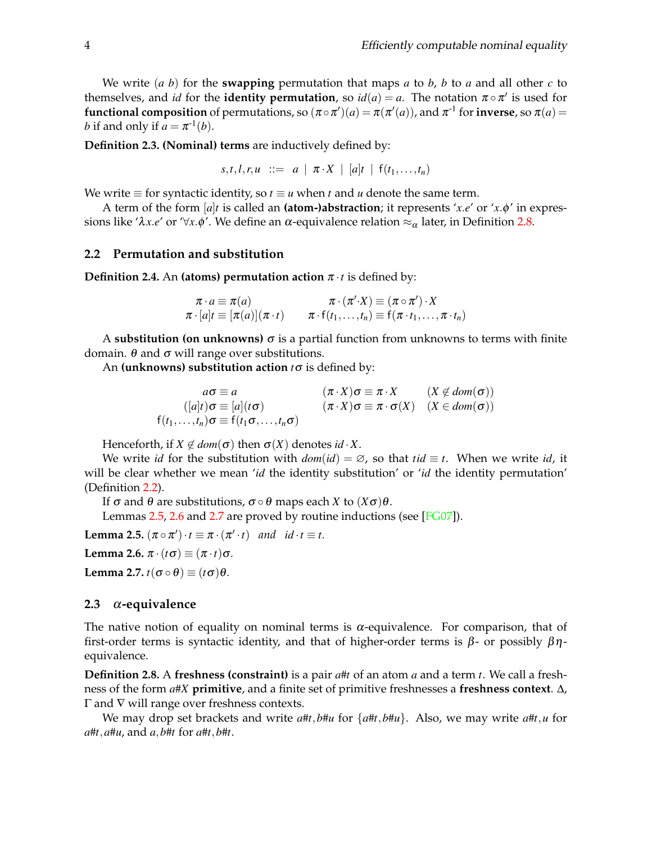We write  $(a, b)$  for the **swapping** permutation that maps  $a$  to  $b$ ,  $b$  to  $a$  and all other  $c$  to themselves, and *id* for the **identity permutation**, so  $id(a) = a$ . The notation  $\pi \circ \pi'$  is used for  $f$ **unctional composition** of permutations, so  $(\pi \circ \pi')(a) = \pi(\pi'(a))$ , and  $\pi^{\text{-}1}$  for  $\textbf{inverse}$ , so  $\pi(a) =$ *b* if and only if  $a = \pi^{-1}(b)$ .

**Definition 2.3. (Nominal) terms** are inductively defined by:

 $s, t, l, r, u$  ::= *a* |  $\pi \cdot X$  | [*a*]*t* |  $f(t_1, \ldots, t_n)$ 

We write  $\equiv$  for syntactic identity, so  $t \equiv u$  when  $t$  and  $u$  denote the same term.

A term of the form  $[a]$ *t* is called an **(atom-)abstraction**; it represents '*x*.*e'* or '*x*. $\phi$ ' in expressions like 'λ*x*.*e'* or '∀*x*. $φ'$ . We define an α-equivalence relation  $≈_α$  later, in Definition [2.8.](#page-3-0)

### **2.2 Permutation and substitution**

**Definition 2.4.** An **(atoms) permutation action**  $\pi \cdot t$  is defined by:

$$
\pi \cdot a \equiv \pi(a) \qquad \qquad \pi \cdot (\pi' \cdot X) \equiv (\pi \circ \pi') \cdot X \n\pi \cdot [a]t \equiv [\pi(a)](\pi \cdot t) \qquad \pi \cdot f(t_1, \ldots, t_n) \equiv f(\pi \cdot t_1, \ldots, \pi \cdot t_n)
$$

A **substitution (on unknowns)**  $\sigma$  is a partial function from unknowns to terms with finite domain. θ and σ will range over substitutions.

An **(unknowns) substitution action** *t*σ is defined by:

$$
a\sigma \equiv a \qquad (\pi \cdot X)\sigma \equiv \pi \cdot X \qquad (X \notin dom(\sigma))
$$
  
\n
$$
([a]t)\sigma \equiv [a](t\sigma) \qquad (\pi \cdot X)\sigma \equiv \pi \cdot \sigma(X) \qquad (X \in dom(\sigma))
$$
  
\n
$$
f(t_1,...,t_n)\sigma \equiv f(t_1\sigma,...,t_n\sigma)
$$

Henceforth, if  $X \notin dom(\sigma)$  then  $\sigma(X)$  denotes *id* · *X*.

We write *id* for the substitution with  $dom(id) = \emptyset$ , so that  $tid \equiv t$ . When we write *id*, it will be clear whether we mean '*id* the identity substitution' or '*id* the identity permutation' (Definition [2.2\)](#page-2-2).

If σ and θ are substitutions, σ ◦ θ maps each *X* to (*X*σ)θ.

Lemmas [2.5,](#page-3-1) [2.6](#page-3-2) and [2.7](#page-3-3) are proved by routine inductions (see [\[FG07\]](#page-14-10)).

<span id="page-3-1"></span>**Lemma 2.5.**  $(\pi \circ \pi') \cdot t \equiv \pi \cdot (\pi' \cdot t)$  *and*  $id \cdot t \equiv t$ *.* 

<span id="page-3-2"></span>**Lemma 2.6.**  $\pi \cdot (t\sigma) \equiv (\pi \cdot t)\sigma$ .

<span id="page-3-3"></span>**Lemma 2.7.**  $t(\sigma \circ \theta) \equiv (t\sigma)\theta$ .

#### **2.3** α**-equivalence**

The native notion of equality on nominal terms is  $\alpha$ -equivalence. For comparison, that of first-order terms is syntactic identity, and that of higher-order terms is β- or possibly  $βη$ equivalence.

<span id="page-3-0"></span>**Definition 2.8.** A **freshness (constraint)** is a pair *a*#*t* of an atom *a* and a term *t*. We call a freshness of the form *a*#*X* **primitive**, and a finite set of primitive freshnesses a **freshness context**. ∆, Γ and ∇ will range over freshness contexts.

We may drop set brackets and write  $a \# t$ ,  $b \# u$  for  $\{a \# t, b \# u\}$ . Also, we may write  $a \# t$ ,  $u$  for *a*#*t*,*a*#*u*, and *a*,*b*#*t* for *a*#*t*,*b*#*t*.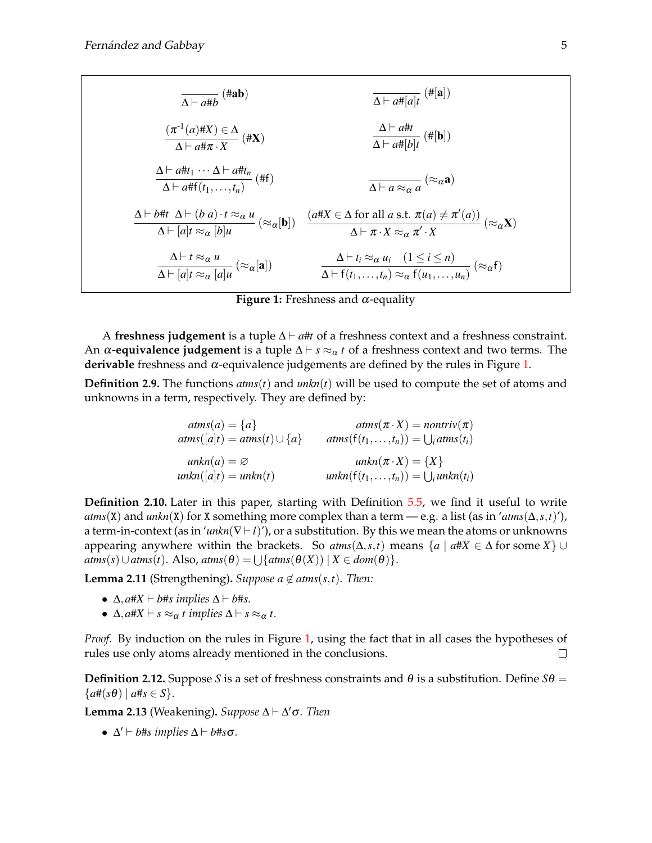$$
\frac{\Delta \vdash a \# b}{\Delta \vdash a \# x} \qquad \frac{(\pi^{-1}(a) \# X) \in \Delta}{\Delta \vdash a \# \pi \cdot X} (\# X)
$$
\n
$$
\frac{\Delta \vdash a \# t}{\Delta \vdash a \# \pi \cdot X} (\# X)
$$
\n
$$
\frac{\Delta \vdash a \# t}{\Delta \vdash a \# f(t_1, \ldots, t_n)} (\# f)
$$
\n
$$
\frac{\Delta \vdash a \# t_1 \cdots \Delta \vdash a \# t_n}{\Delta \vdash a \# f(t_1, \ldots, t_n)} (\# f)
$$
\n
$$
\frac{\Delta \vdash b \# t}{\Delta \vdash [a]t \approx_{\alpha} [b]u} (\approx_{\alpha} [b])
$$
\n
$$
\frac{(a \# X \in \Delta \text{ for all } a \text{ s.t. } \pi(a) \neq \pi'(a))}{\Delta \vdash \pi \cdot X \approx_{\alpha} \pi' \cdot X} (\approx_{\alpha} X)
$$
\n
$$
\frac{\Delta \vdash t \approx_{\alpha} u}{\Delta \vdash [a]t \approx_{\alpha} [a]u} (\approx_{\alpha} [a])
$$
\n
$$
\frac{\Delta \vdash t_i \approx_{\alpha} u_i \quad (1 \leq i \leq n)}{\Delta \vdash f(t_1, \ldots, t_n) \approx_{\alpha} f(u_1, \ldots, u_n)} (\approx_{\alpha} f)
$$

**Figure 1:** Freshness and  $\alpha$ -equality

<span id="page-4-0"></span>A **freshness judgement** is a tuple  $\Delta \vdash a$ #*t* of a freshness context and a freshness constraint. An  $\alpha$ -equivalence judgement is a tuple  $\Delta \vdash s \approx_{\alpha} t$  of a freshness context and two terms. The **derivable** freshness and α-equivalence judgements are defined by the rules in Figure [1.](#page-4-0)

**Definition 2.9.** The functions *atms*(*t*) and *unkn*(*t*) will be used to compute the set of atoms and unknowns in a term, respectively. They are defined by:

$$
atms(a) = \{a\} \qquad atms(\pi \cdot X) = nontriv(\pi)
$$
  
\n
$$
atms([a]t) = atms(t) \cup \{a\} \qquad atms(f(t_1,...,t_n)) = \bigcup_i atms(t_i)
$$
  
\n
$$
unkn(a) = \emptyset \qquad unkn(\pi \cdot X) = \{X\}
$$
  
\n
$$
unkn([a]t) = unkn(t) \qquad unkn(f(t_1,...,t_n)) = \bigcup_i unkn(t_i)
$$

**Definition 2.10.** Later in this paper, starting with Definition [5.5,](#page-9-0) we find it useful to write  $a$ *tms*(X) and *unkn*(X) for X something more complex than a term — e.g. a list (as in ' $a$ *tms*( $\Delta$ *,s*,*t*)'), a term-in-context (as in '*unkn*( $\nabla$   $\vdash$  *l*)'), or a substitution. By this we mean the atoms or unknowns appearing anywhere within the brackets. So  $atms(\Delta, s, t)$  means  $\{a \mid a \# X \in \Delta \}$  for some  $X\}$  $atms(s) \cup atms(t)$ . Also,  $atms(\theta) = \bigcup \{atms(\theta(X)) \mid X \in dom(\theta)\}.$ 

<span id="page-4-1"></span>**Lemma 2.11** (Strengthening). *Suppose*  $a \notin \text{atms}(s,t)$ *. Then:* 

- $\Delta$ *, a*#*X*  $\vdash$  *b*#*s implies*  $\Delta \vdash$  *b*#*s.*
- $\Delta$ ,  $a \# X \vdash s \approx_\alpha t$  *implies*  $\Delta \vdash s \approx_\alpha t$ *.*

*Proof.* By induction on the rules in Figure [1,](#page-4-0) using the fact that in all cases the hypotheses of rules use only atoms already mentioned in the conclusions.  $\Box$ 

**Definition 2.12.** Suppose *S* is a set of freshness constraints and  $\theta$  is a substitution. Define  $S\theta$  =  ${a\#(s\theta) \mid a\#s \in S}.$ 

<span id="page-4-2"></span>**Lemma 2.13** (Weakening). *Suppose* Δ  $\vdash$  Δ'σ*. Then* 

•  $\Delta' \vdash b$ #*s implies*  $\Delta \vdash b$ #*s* $\sigma$ *.*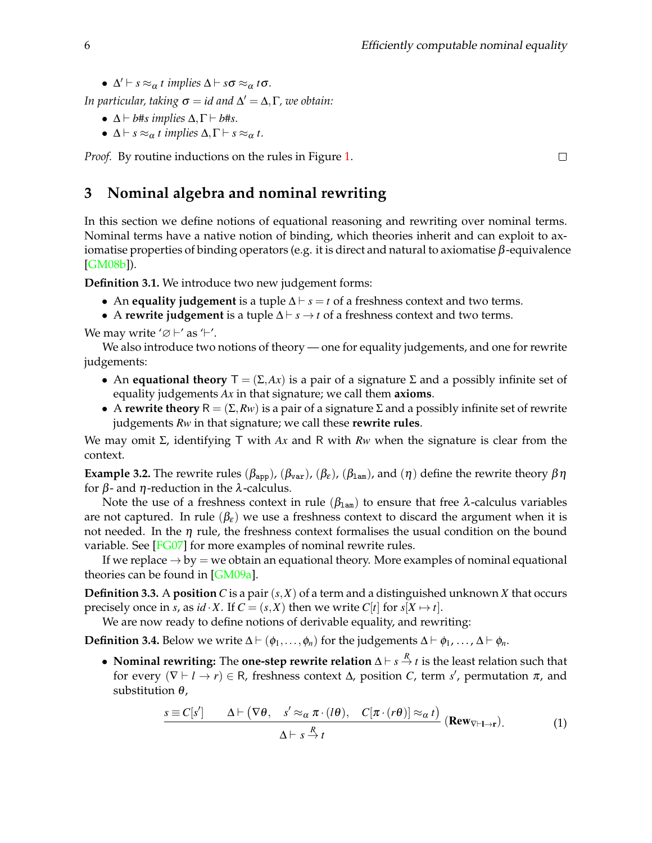•  $\Delta' \vdash s \approx_\alpha t \implies \Delta \vdash s\sigma \approx_\alpha t\sigma$ .

*In particular, taking* σ = *id and* ∆ <sup>0</sup> = ∆,Γ*, we obtain:*

- $\Delta \vdash b$ #*s implies*  $\Delta, \Gamma \vdash b$ #*s*.
- $\Delta \vdash s \approx_\alpha t$  *implies*  $\Delta, \Gamma \vdash s \approx_\alpha t$ *.*

*Proof.* By routine inductions on the rules in Figure [1.](#page-4-0)

# <span id="page-5-0"></span>**3 Nominal algebra and nominal rewriting**

In this section we define notions of equational reasoning and rewriting over nominal terms. Nominal terms have a native notion of binding, which theories inherit and can exploit to axiomatise properties of binding operators (e.g. it is direct and natural to axiomatise  $β$ -equivalence [\[GM08b\]](#page-14-24)).

<span id="page-5-3"></span>**Definition 3.1.** We introduce two new judgement forms:

- An **equality judgement** is a tuple  $\Delta \vdash s = t$  of a freshness context and two terms.
- A **rewrite judgement** is a tuple  $\Delta \vdash s \rightarrow t$  of a freshness context and two terms.

We may write ' $\varnothing$  +' as '+'.

We also introduce two notions of theory — one for equality judgements, and one for rewrite judgements:

- An **equational theory**  $T = (\Sigma, Ax)$  is a pair of a signature  $\Sigma$  and a possibly infinite set of equality judgements *Ax* in that signature; we call them **axioms**.
- A **rewrite theory**  $R = (\Sigma, Rw)$  is a pair of a signature  $\Sigma$  and a possibly infinite set of rewrite judgements *Rw* in that signature; we call these **rewrite rules**.

We may omit Σ, identifying T with *Ax* and R with *Rw* when the signature is clear from the context.

**Example 3.2.** The rewrite rules ( $\beta_{app}$ ), ( $\beta_{var}$ ), ( $\beta_{\epsilon}$ ), ( $\beta_{lam}$ ), and ( $\eta$ ) define the rewrite theory  $\beta \eta$ for β- and η-reduction in the λ-calculus.

Note the use of a freshness context in rule  $(\beta_{\text{lam}})$  to ensure that free  $\lambda$ -calculus variables are not captured. In rule  $(\beta_{\varepsilon})$  we use a freshness context to discard the argument when it is not needed. In the  $\eta$  rule, the freshness context formalises the usual condition on the bound variable. See [\[FG07\]](#page-14-10) for more examples of nominal rewrite rules.

If we replace  $\rightarrow$  by  $=$  we obtain an equational theory. More examples of nominal equational theories can be found in  $[GM09a]$ .

**Definition 3.3.** A **position** C is a pair  $(s, X)$  of a term and a distinguished unknown X that occurs precisely once in *s*, as *id*  $\cdot$  *X*. If  $C = (s, X)$  then we write  $C[t]$  for  $s[X \mapsto t]$ .

We are now ready to define notions of derivable equality, and rewriting:

<span id="page-5-2"></span>**Definition 3.4.** Below we write  $\Delta \vdash (\phi_1, \ldots, \phi_n)$  for the judgements  $\Delta \vdash \phi_1, \ldots, \Delta \vdash \phi_n$ .

• **Nominal rewriting:** The **one-step rewrite relation** ∆ ` *s R* → *t* is the least relation such that for every  $(\nabla \vdash l \rightarrow r) \in \mathsf{R}$ , freshness context  $\Delta$ , position *C*, term *s'*, permutation  $\pi$ , and substitution  $\theta$ ,

<span id="page-5-1"></span>
$$
\frac{s \equiv C[s'] \qquad \Delta \vdash (\nabla \theta, \quad s' \approx_{\alpha} \pi \cdot (l\theta), \quad C[\pi \cdot (r\theta)] \approx_{\alpha} t)}{\Delta \vdash s \stackrel{R}{\to} t} (\text{Rew}_{\nabla \vdash l \to r}). \tag{1}
$$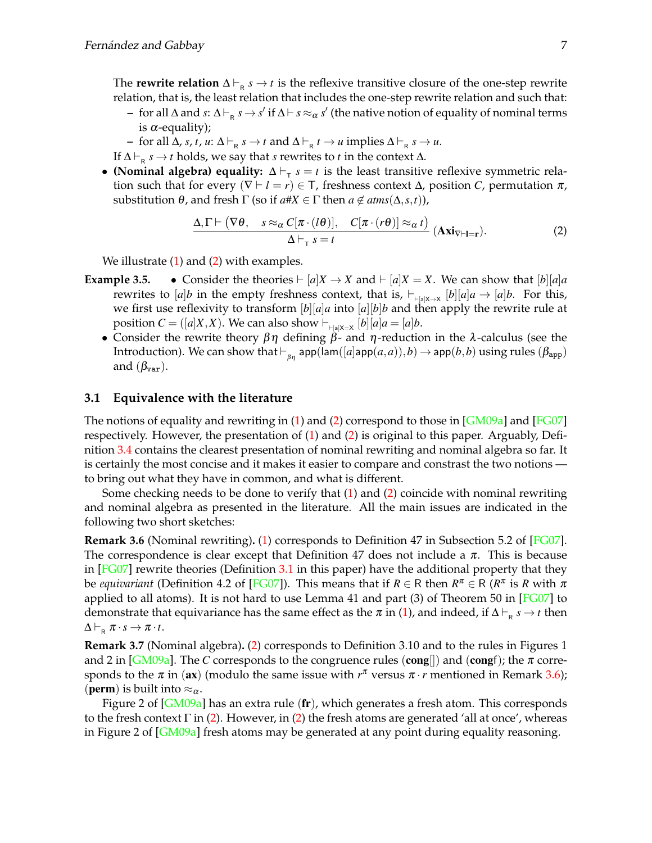The **rewrite relation**  $\Delta \vdash_{\mathsf{R}} s \to t$  is the reflexive transitive closure of the one-step rewrite relation, that is, the least relation that includes the one-step rewrite relation and such that:

- **–** for all ∆ and *s*: ∆  $\vdash$ <sub>R</sub> *s* → *s'* if ∆  $\vdash$  *s* ≈ α *s'* (the native notion of equality of nominal terms is  $\alpha$ -equality);
- $\rightarrow$  for all Δ, *s*, *t*, *u*: Δ $\vdash_R s \rightarrow t$  and Δ $\vdash_R t \rightarrow u$  implies Δ $\vdash_R s \rightarrow u$ .
- If  $\Delta \vdash_{\mathsf{R}} s \to t$  holds, we say that *s* rewrites to *t* in the context  $\Delta$ .
- **(Nominal algebra) equality:**  $\Delta \vdash_{\tau} s = t$  is the least transitive reflexive symmetric relation such that for every  $(\nabla \vdash l = r) \in \mathsf{T}$ , freshness context  $\Delta$ , position *C*, permutation  $\pi$ , substitution  $θ$ , and fresh Γ (so if  $a \# X \in \Gamma$  then  $a \notin atms(\Delta, s, t)$ ),

<span id="page-6-0"></span>
$$
\frac{\Delta,\Gamma\vdash (\nabla\theta,\quad s\approx_{\alpha}C[\pi\cdot(l\theta)],\quad C[\pi\cdot(r\theta)]\approx_{\alpha}t)}{\Delta\vdash_{\tau}s=t}(\mathbf{Axi}_{\nabla\vdash l=r}).
$$
\n(2)

We illustrate  $(1)$  and  $(2)$  with examples.

- **Example 3.5.** Consider the theories  $\vdash [a]X \rightarrow X$  and  $\vdash [a]X = X$ . We can show that  $[b][a]a$ rewrites to  $[a]b$  in the empty freshness context, that is,  $\vdash_{\vdash_{[a]X\to X}}[b][a]a \to [a]b$ . For this, we first use reflexivity to transform [*b*][*a*]*a* into [*a*][*b*]*b* and then apply the rewrite rule at position  $C = ([a]X, X)$ . We can also show  $\vdash_{\vdash[a]X=X} [b][a]a = [a]b$ .
	- Consider the rewrite theory  $\beta\eta$  defining  $\beta$  and  $\eta$ -reduction in the  $\lambda$ -calculus (see the Introduction). We can show that  $\vdash_{\beta n}$  app(lam([*a*]app(*a*,*a*)),*b*)  $\rightarrow$  app(*b*,*b*) using rules ( $\beta_{app}$ ) and  $(\beta_{var})$ .

### **3.1 Equivalence with the literature**

The notions of equality and rewriting in [\(1\)](#page-5-1) and [\(2\)](#page-6-0) correspond to those in  $[GM09a]$  and  $[FG07]$ respectively. However, the presentation of [\(1\)](#page-5-1) and [\(2\)](#page-6-0) is original to this paper. Arguably, Definition [3.4](#page-5-2) contains the clearest presentation of nominal rewriting and nominal algebra so far. It is certainly the most concise and it makes it easier to compare and constrast the two notions to bring out what they have in common, and what is different.

Some checking needs to be done to verify that [\(1\)](#page-5-1) and [\(2\)](#page-6-0) coincide with nominal rewriting and nominal algebra as presented in the literature. All the main issues are indicated in the following two short sketches:

<span id="page-6-1"></span>**Remark 3.6** (Nominal rewriting)**.** [\(1\)](#page-5-1) corresponds to Definition 47 in Subsection 5.2 of [\[FG07\]](#page-14-10). The correspondence is clear except that Definition 47 does not include a  $\pi$ . This is because in  $[FG07]$  rewrite theories (Definition [3.1](#page-5-3) in this paper) have the additional property that they be *equivariant* (Definition 4.2 of [\[FG07\]](#page-14-10)). This means that if  $R \in \mathsf{R}$  then  $R^{\pi} \in \mathsf{R}$  ( $R^{\pi}$  is  $R$  with  $\pi$ applied to all atoms). It is not hard to use Lemma 41 and part  $(3)$  of Theorem 50 in [\[FG07\]](#page-14-10) to demonstrate that equivariance has the same effect as the  $\pi$  in [\(1\)](#page-5-1), and indeed, if  $\Delta\vdash_\textsf{R} s\to t$  then  $\Delta \vdash_{\mathsf{R}} \pi \cdot s \rightarrow \pi \cdot t.$ 

**Remark 3.7** (Nominal algebra)**.** [\(2\)](#page-6-0) corresponds to Definition 3.10 and to the rules in Figures 1 and 2 in [\[GM09a\]](#page-14-12). The *C* corresponds to the congruence rules (cong[]) and (congf); the  $\pi$  corresponds to the  $\pi$  in (ax) (modulo the same issue with  $r^{\pi}$  versus  $\pi \cdot r$  mentioned in Remark [3.6\)](#page-6-1); (**perm**) is built into  $\approx_{\alpha}$ .

Figure 2 of  $\lceil GM09a \rceil$  has an extra rule  $(\bf{fr})$ , which generates a fresh atom. This corresponds to the fresh context Γ in [\(2\)](#page-6-0). However, in (2) the fresh atoms are generated 'all at once', whereas in Figure 2 of [\[GM09a\]](#page-14-12) fresh atoms may be generated at any point during equality reasoning.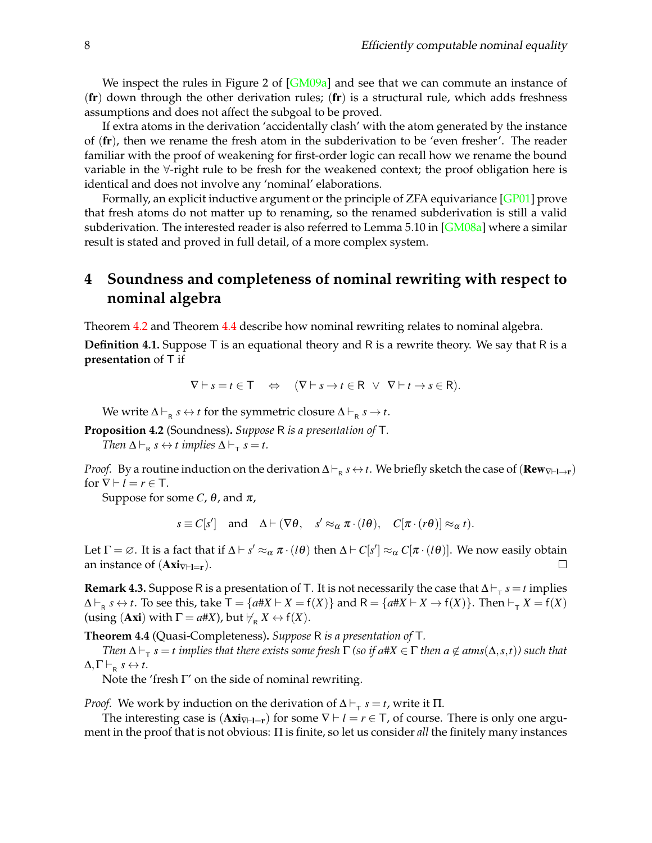We inspect the rules in Figure 2 of  $[GM09a]$  and see that we can commute an instance of  $(\mathbf{fr})$  down through the other derivation rules;  $(\mathbf{fr})$  is a structural rule, which adds freshness assumptions and does not affect the subgoal to be proved.

If extra atoms in the derivation 'accidentally clash' with the atom generated by the instance of (fr), then we rename the fresh atom in the subderivation to be 'even fresher'. The reader familiar with the proof of weakening for first-order logic can recall how we rename the bound variable in the ∀-right rule to be fresh for the weakened context; the proof obligation here is identical and does not involve any 'nominal' elaborations.

Formally, an explicit inductive argument or the principle of ZFA equivariance [\[GP01\]](#page-14-13) prove that fresh atoms do not matter up to renaming, so the renamed subderivation is still a valid subderivation. The interested reader is also referred to Lemma 5.10 in [\[GM08a\]](#page-14-25) where a similar result is stated and proved in full detail, of a more complex system.

# <span id="page-7-1"></span>**4 Soundness and completeness of nominal rewriting with respect to nominal algebra**

Theorem [4.2](#page-7-2) and Theorem [4.4](#page-7-0) describe how nominal rewriting relates to nominal algebra.

<span id="page-7-3"></span>**Definition 4.1.** Suppose T is an equational theory and R is a rewrite theory. We say that R is a **presentation** of T if

$$
\nabla \vdash s = t \in \mathsf{T} \quad \Leftrightarrow \quad (\nabla \vdash s \to t \in \mathsf{R} \ \lor \ \nabla \vdash t \to s \in \mathsf{R}).
$$

We write  $\Delta \vdash_{\mathsf{R}} s \leftrightarrow t$  for the symmetric closure  $\Delta \vdash_{\mathsf{R}} s \rightarrow t$ .

<span id="page-7-2"></span>**Proposition 4.2** (Soundness)**.** *Suppose* R *is a presentation of* T*.*

*Then*  $\Delta \vdash_R s \leftrightarrow t$  *implies*  $\Delta \vdash_T s = t$ *.* 

*Proof.* By a routine induction on the derivation  $\Delta\vdash_\textsf{R} s\leftrightarrow t$ . We briefly sketch the case of  $(\textbf{Rew}_{\nabla\vdash\textbf{I}\to\textbf{r}})$ for  $\nabla \vdash l = r \in \mathsf{T}$ .

Suppose for some *C*,  $\theta$ , and  $\pi$ ,

 $s \equiv C[s']$  and  $\Delta \vdash (\nabla \theta, s' \approx_{\alpha} \pi \cdot (l\theta), C[\pi \cdot (r\theta)] \approx_{\alpha} t).$ 

Let  $\Gamma = \varnothing$ . It is a fact that if  $\Delta \vdash s' \approx_\alpha \pi \cdot (l\theta)$  then  $\Delta \vdash C[s'] \approx_\alpha C[\pi \cdot (l\theta)]$ . We now easily obtain an instance of  $(Axi_{\nvert=1})$ .  $\Box$ 

**Remark 4.3.** Suppose R is a presentation of T. It is not necessarily the case that  $\Delta \vdash_{\tau} s = t$  implies  $\Delta \vdash_R s \leftrightarrow t$ . To see this, take  $\mathsf{T} = \{a\#X \vdash X = \mathsf{f}(X)\}$  and  $\mathsf{R} = \{a\#X \vdash X \to \mathsf{f}(X)\}$ . Then  $\vdash_\mathsf{T} X = \mathsf{f}(X)$ (using (**Axi**) with  $\Gamma = a\#X$ ), but  $\nvdash_R X \leftrightarrow f(X)$ .

<span id="page-7-0"></span>**Theorem 4.4** (Quasi-Completeness)**.** *Suppose* R *is a presentation of* T*.*

 $\Delta \vdash_\tau s = t$  *implies that there exists some fresh*  $\Gamma$  *(so if a*# $X \in \Gamma$  *then a*  $\notin$  *atms*( $\Delta, s, t$ )) such that  $\Delta, \Gamma \vdash_R s \leftrightarrow t.$ 

Note the 'fresh  $\Gamma'$  on the side of nominal rewriting.

*Proof.* We work by induction on the derivation of  $\Delta \vdash_{\tau} s = t$ , write it  $\Pi$ .

The interesting case is  $(Axi_{\nabla \vdash l=r})$  for some  $\nabla \vdash l = r \in \top$ , of course. There is only one argument in the proof that is not obvious: Π is finite, so let us consider *all* the finitely many instances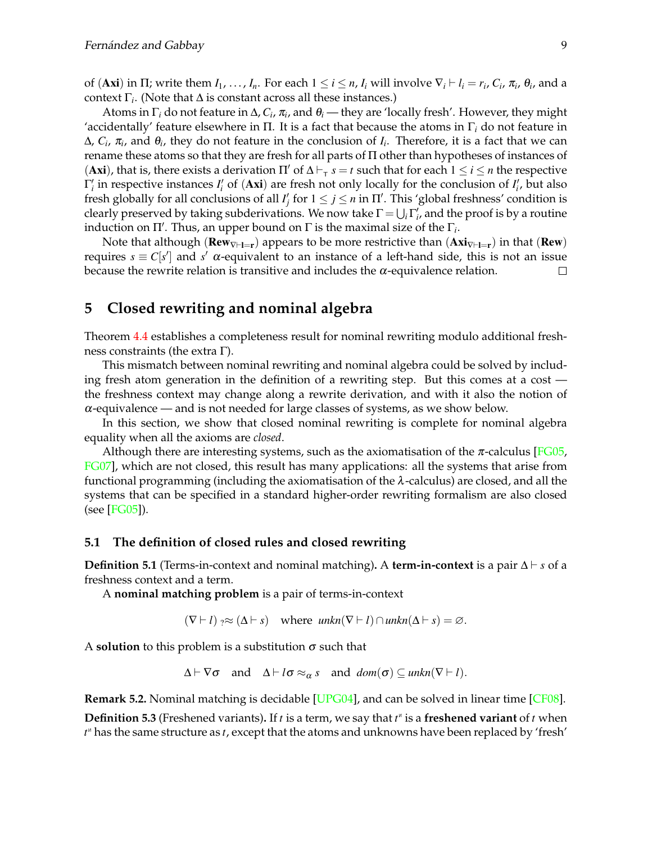of (**Axi**) in  $\Pi$ ; write them  $I_1$ , ...,  $I_n$ . For each  $1 \le i \le n$ ,  $I_i$  will involve  $\nabla_i \vdash l_i = r_i$ ,  $C_i$ ,  $\pi_i$ ,  $\theta_i$ , and a context Γ*i* . (Note that ∆ is constant across all these instances.)

Atoms in Γ*<sup>i</sup>* do not feature in ∆, *C<sup>i</sup>* , π*i* , and θ*i* — they are 'locally fresh'. However, they might 'accidentally' feature elsewhere in  $\Pi$ . It is a fact that because the atoms in  $\Gamma_i$  do not feature in  $\Delta$ ,  $C_i$ ,  $\pi_i$ , and  $\theta_i$ , they do not feature in the conclusion of  $I_i$ . Therefore, it is a fact that we can rename these atoms so that they are fresh for all parts of Π other than hypotheses of instances of (Axi), that is, there exists a derivation  $\Pi'$  of  $\Delta \vdash_{\tau} s = t$  such that for each  $1 \le i \le n$  the respective  $Γ'$ <sub>i</sub> in respective instances *I*<sup>'</sup><sub>i</sub> of (Axi) are fresh not only locally for the conclusion of *I*<sup>'</sup><sub>i</sub>, but also fresh globally for all conclusions of all  $I'_j$  for  $1 \leq j \leq n$  in  $\Pi'$ . This 'global freshness' condition is clearly preserved by taking subderivations. We now take  $\Gamma = \bigcup_i \Gamma'_i$ , and the proof is by a routine induction on  $\Pi'$ . Thus, an upper bound on  $\Gamma$  is the maximal size of the  $\Gamma_i$ .

Note that although ( $\mathbf{Rew}_{V\vdash l=r}$ ) appears to be more restrictive than  $(\mathbf{Axi}_{V\vdash l=r})$  in that ( $\mathbf{Rew}$ ) requires  $s \equiv C[s']$  and *s'* α-equivalent to an instance of a left-hand side, this is not an issue because the rewrite relation is transitive and includes the  $\alpha$ -equivalence relation.  $\Box$ 

# <span id="page-8-0"></span>**5 Closed rewriting and nominal algebra**

Theorem [4.4](#page-7-0) establishes a completeness result for nominal rewriting modulo additional freshness constraints (the extra Γ).

This mismatch between nominal rewriting and nominal algebra could be solved by including fresh atom generation in the definition of a rewriting step. But this comes at a cost the freshness context may change along a rewrite derivation, and with it also the notion of  $\alpha$ -equivalence — and is not needed for large classes of systems, as we show below.

In this section, we show that closed nominal rewriting is complete for nominal algebra equality when all the axioms are *closed*.

Although there are interesting systems, such as the axiomatisation of the  $\pi$ -calculus [\[FG05,](#page-14-26) [FG07\]](#page-14-10), which are not closed, this result has many applications: all the systems that arise from functional programming (including the axiomatisation of the  $\lambda$ -calculus) are closed, and all the systems that can be specified in a standard higher-order rewriting formalism are also closed (see [\[FG05\]](#page-14-26)).

### **5.1 The definition of closed rules and closed rewriting**

**Definition 5.1** (Terms-in-context and nominal matching)**.** A **term-in-context** is a pair ∆ ` *s* of a freshness context and a term.

A **nominal matching problem** is a pair of terms-in-context

 $(\nabla \vdash l) \rightarrow \approx (\Delta \vdash s)$  where  $unkn(\nabla \vdash l) \cap unkn(\Delta \vdash s) = \varnothing$ .

A **solution** to this problem is a substitution  $\sigma$  such that

 $\Delta \vdash \nabla \sigma$  and  $\Delta \vdash l\sigma \approx_{\alpha} s$  and  $dom(\sigma) \subseteq unkn(\nabla \vdash l).$ 

**Remark 5.2.** Nominal matching is decidable [\[UPG04\]](#page-14-8), and can be solved in linear time [\[CF08\]](#page-13-5).

**Definition 5.3** (Freshened variants). If  $t$  is a term, we say that  $t^*$  is a **freshened variant** of  $t$  when *t* N has the same structure as *t*, except that the atoms and unknowns have been replaced by 'fresh'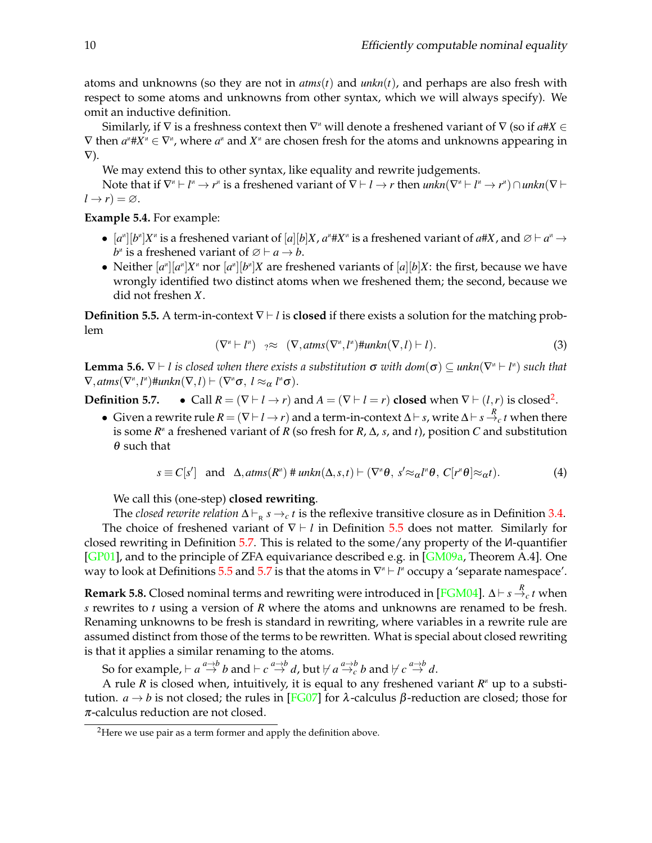atoms and unknowns (so they are not in *atms*(*t*) and *unkn*(*t*), and perhaps are also fresh with respect to some atoms and unknowns from other syntax, which we will always specify). We omit an inductive definition.

Similarly, if V is a freshness context then V<sup></sup> will denote a freshened variant of V (so if  $a\#X \in$  $\nabla$  then  $a^{\mu}$ #X $^{\mu}$   $\in$   $\nabla^{\mu}$ , where  $a^{\mu}$  and  $X^{\mu}$  are chosen fresh for the atoms and unknowns appearing in  $\nabla$ ).

We may extend this to other syntax, like equality and rewrite judgements.

Note that if  $\nabla^n \vdash l^n \to r^n$  is a freshened variant of  $\nabla \vdash l \to r$  then  $unknown(\nabla^n \vdash l^n \to r^n) \cap unkn(\nabla \vdash n)$  $l \rightarrow r$ ) =  $\varnothing$ .

**Example 5.4.** For example:

- $[a^n][b^n]X^n$  is a freshened variant of  $[a][b]X$ ,  $a^n \# X^n$  is a freshened variant of  $a \# X$ , and  $\emptyset \vdash a^n \to a^n$  $b^n$  is a freshened variant of  $\emptyset \vdash a \rightarrow b$ .
- Neither  $[a^n][a^n]X^n$  nor  $[a^n][b^n]X$  are freshened variants of  $[a][b]X$ : the first, because we have wrongly identified two distinct atoms when we freshened them; the second, because we did not freshen *X*.

<span id="page-9-0"></span>**Definition 5.5.** A term-in-context  $\nabla \vdash l$  is **closed** if there exists a solution for the matching problem

$$
(\nabla^{\mu} \vdash l^{\mu}) \quad ? \approx \quad (\nabla, \text{atms}(\nabla^{\mu}, l^{\mu}) \# \text{unkn}(\nabla, l) \vdash l). \tag{3}
$$

<span id="page-9-4"></span>**Lemma 5.6.**  $\nabla \vdash l$  is closed when there exists a substitution  $\sigma$  with  $dom(\sigma) \subseteq unkn(\nabla^n \vdash l^n)$  such that  $\nabla$ *,* atms( $\nabla^{\alpha}$ *, l*<sup>n</sup>)#*unkn*( $\nabla$ *,l*)  $\vdash$  ( $\nabla^{\alpha}$  $\sigma$ *, l*  $\approx_{\alpha}$ *l*<sup>n</sup> $\sigma$ ).

<span id="page-9-2"></span>**Definition 5.7.** • Call  $R = (\nabla \vdash l \rightarrow r)$  and  $A = (\nabla \vdash l = r)$  closed when  $\nabla \vdash (l, r)$  is closed<sup>[2](#page-9-1)</sup>.

• Given a rewrite rule  $R = (\nabla \vdash l \to r)$  and a term-in-context  $\Delta \vdash s$ , write  $\Delta \vdash s \stackrel{R}{\to} c t$  when there is some  $R^{\text{M}}$  a freshened variant of  $R$  (so fresh for  $R$ ,  $\Delta$ ,  $s$ , and  $t$ ), position  $C$  and substitution  $\theta$  such that

<span id="page-9-3"></span>
$$
s \equiv C[s'] \quad \text{and} \quad \Delta, \text{atms}(R^{\nu}) \# \text{unkn}(\Delta, s, t) \vdash (\nabla^{\nu} \theta, s' \approx_{\alpha} l^{\nu} \theta, C[r^{\nu} \theta] \approx_{\alpha} t). \tag{4}
$$

We call this (one-step) **closed rewriting**.

The *closed rewrite relation*  $\Delta \vdash_R s \rightarrow_c t$  is the reflexive transitive closure as in Definition [3.4.](#page-5-2) The choice of freshened variant of  $\nabla \vdash l$  in Definition [5.5](#page-9-0) does not matter. Similarly for closed rewriting in Definition [5.7.](#page-9-2) This is related to the some/any property of the <sup>N</sup>-quantifier [\[GP01\]](#page-14-13), and to the principle of ZFA equivariance described e.g. in [\[GM09a,](#page-14-12) Theorem A.4]. One way to look at Definitions [5.5](#page-9-0) and [5.7](#page-9-2) is that the atoms in ∇<sup></sup> + 1<sup></sup> occupy a 'separate namespace'.

Remark 5.8. Closed nominal terms and rewriting were introduced in [\[FGM04\]](#page-14-14).  $\Delta \vdash s \stackrel{R}{\to}_c t$  when *s* rewrites to *t* using a version of *R* where the atoms and unknowns are renamed to be fresh. Renaming unknowns to be fresh is standard in rewriting, where variables in a rewrite rule are assumed distinct from those of the terms to be rewritten. What is special about closed rewriting is that it applies a similar renaming to the atoms.

So for example,  $\vdash a \stackrel{a \to b}{\to} b$  and  $\vdash c \stackrel{a \to b}{\to} d$ , but  $\nvdash a \stackrel{a \to b}{\to} c$   $b$  and  $\nvdash c \stackrel{a \to b}{\to} d$ .

A rule R is closed when, intuitively, it is equal to any freshened variant R<sup>M</sup> up to a substitution. *a*  $\rightarrow$  *b* is not closed; the rules in [\[FG07\]](#page-14-10) for λ-calculus β-reduction are closed; those for  $\pi$ -calculus reduction are not closed.

<span id="page-9-1"></span><sup>&</sup>lt;sup>2</sup>Here we use pair as a term former and apply the definition above.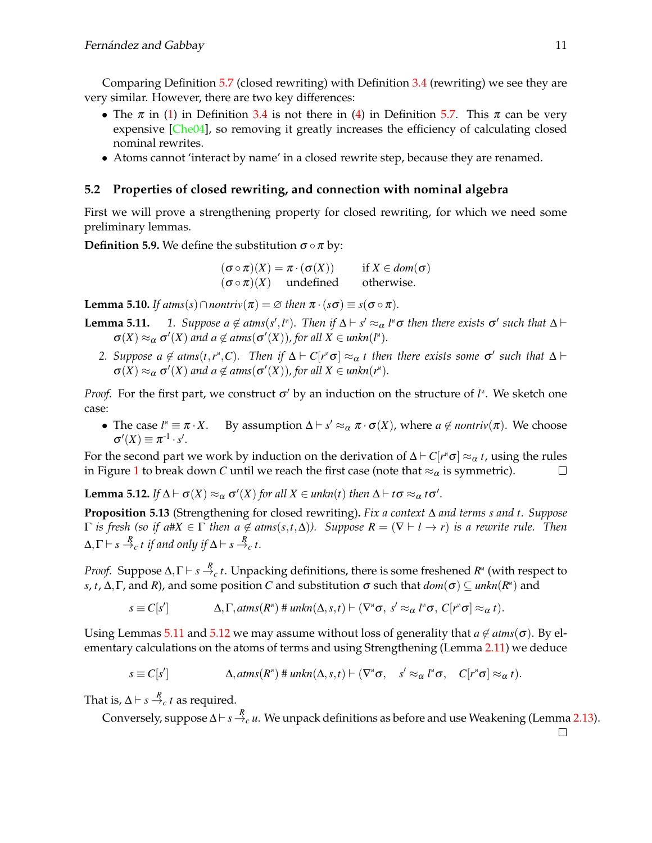Comparing Definition [5.7](#page-9-2) (closed rewriting) with Definition [3.4](#page-5-2) (rewriting) we see they are very similar. However, there are two key differences:

- The  $\pi$  in [\(1\)](#page-5-1) in Definition [3.4](#page-5-2) is not there in [\(4\)](#page-9-3) in Definition [5.7.](#page-9-2) This  $\pi$  can be very expensive [\[Che04\]](#page-13-6), so removing it greatly increases the efficiency of calculating closed nominal rewrites.
- Atoms cannot 'interact by name' in a closed rewrite step, because they are renamed.

### **5.2 Properties of closed rewriting, and connection with nominal algebra**

First we will prove a strengthening property for closed rewriting, for which we need some preliminary lemmas.

**Definition 5.9.** We define the substitution  $\sigma \circ \pi$  by:

 $(\sigma \circ \pi)(X) = \pi \cdot (\sigma(X))$  if  $X \in dom(\sigma)$  $(\sigma \circ \pi)(X)$  undefined otherwise.

<span id="page-10-2"></span>**Lemma 5.10.** *If*  $atms(s) \cap nontriv(\pi) = \emptyset$  *then*  $\pi \cdot (s\sigma) \equiv s(\sigma \circ \pi)$ *.* 

- <span id="page-10-0"></span>**Lemma 5.11.** *1. Suppose*  $a \notin \text{atms}(s', l'')$ . Then if  $\Delta \vdash s' \approx_{\alpha} l'' \sigma$  then there exists  $\sigma'$  such that  $\Delta \vdash$  $\sigma(X) \approx_{\alpha} \sigma'(X)$  and  $a \notin \text{atms}(\sigma'(X))$ , for all  $X \in \text{unkn}(l^{\alpha})$ .
	- 2. Suppose  $a \notin atms(t, r^n, C)$ . Then if  $\Delta \vdash C[r^n\sigma] \approx_\alpha t$  then there exists some  $\sigma'$  such that  $\Delta \vdash$  $\sigma(X) \approx_{\alpha} \sigma'(X)$  and  $a \notin \text{atms}(\sigma'(X))$ , for all  $X \in \text{unknown}(r^*)$ .

*Proof.* For the first part, we construct σ' by an induction on the structure of *l*<sup>n</sup>. We sketch one case:

• The case  $l^{\prime\prime} \equiv \pi \cdot X$ .  $\mathcal{A}^{\mu} \equiv \pi \cdot X$ . By assumption  $\Delta \vdash s' \approx_{\alpha} \pi \cdot \sigma(X)$ , where  $a \notin \text{nontriv}(\pi)$ . We choose  $\sigma'(X) \equiv \pi^{-1} \cdot s'.$ 

For the second part we work by induction on the derivation of  $\Delta \vdash C[r^{\shortparallel} \sigma] \approx_\alpha t$ , using the rules in Figure [1](#page-4-0) to break down *C* until we reach the first case (note that  $\approx_{\alpha}$  is symmetric).  $\Box$ 

<span id="page-10-1"></span>**Lemma 5.12.** *If*  $\Delta \vdash \sigma(X) \approx_{\alpha} \sigma'(X)$  *for all*  $X \in unkn(t)$  *then*  $\Delta \vdash t\sigma \approx_{\alpha} t\sigma'.$ 

<span id="page-10-3"></span>**Proposition 5.13** (Strengthening for closed rewriting)**.** *Fix a context* ∆ *and terms s and t. Suppose*  $\Gamma$  *is fresh (so if a*# $X \in \Gamma$  *then*  $a \notin atms(s,t,\Delta)$ *). Suppose*  $R = (\nabla \vdash l \rightarrow r)$  *is a rewrite rule. Then*  $\Delta, \Gamma \vdash s \stackrel{R}{\to}_c t$  if and only if  $\Delta \vdash s \stackrel{R}{\to}_c t$ .

*Proof.* Suppose Δ,Γ $\vdash s$   $\stackrel{R}{\to}_c t$ . Unpacking definitions, there is some freshened  $R^\text{n}$  (with respect to *s, t,* Δ,Γ, and *R*), and some position *C* and substitution  $\sigma$  such that  $dom(\sigma) \subseteq unkn(R^n)$  and

$$
s \equiv C[s'] \qquad \qquad \Delta, \Gamma, \mathit{atms}(R^*) \# \mathit{unkn}(\Delta, s, t) \vdash (\nabla^{\alpha} \sigma, s' \approx_{\alpha} l^{\alpha} \sigma, C[r^{\alpha} \sigma] \approx_{\alpha} t).
$$

Using Lemmas [5.11](#page-10-0) and [5.12](#page-10-1) we may assume without loss of generality that  $a \notin atms(\sigma)$ . By elementary calculations on the atoms of terms and using Strengthening (Lemma [2.11\)](#page-4-1) we deduce

$$
s \equiv C[s'] \qquad \qquad \Delta, \operatorname{atms}(R^{\mathsf{N}}) \# \operatorname{unkn}(\Delta, s, t) \vdash (\nabla^{\mathsf{N}} \sigma, \quad s' \approx_{\alpha} l^{\mathsf{N}} \sigma, \quad C[r^{\mathsf{N}} \sigma] \approx_{\alpha} t).
$$

That is,  $\Delta \vdash s \stackrel{R}{\to}_c t$  as required.

Conversely, suppose  $\Delta \vdash s\stackrel{R}{\to}_c u.$  We unpack definitions as before and use Weakening (Lemma [2.13\)](#page-4-2).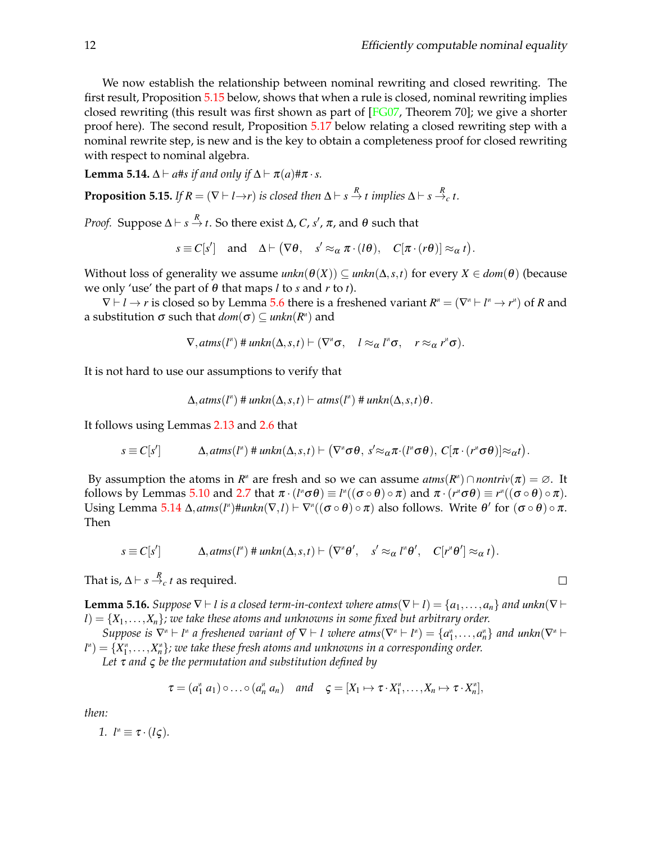We now establish the relationship between nominal rewriting and closed rewriting. The first result, Proposition [5.15](#page-11-0) below, shows that when a rule is closed, nominal rewriting implies closed rewriting (this result was first shown as part of [\[FG07,](#page-14-10) Theorem 70]; we give a shorter proof here). The second result, Proposition [5.17](#page-12-1) below relating a closed rewriting step with a nominal rewrite step, is new and is the key to obtain a completeness proof for closed rewriting with respect to nominal algebra.

<span id="page-11-1"></span>**Lemma 5.14.**  $\Delta \vdash a$ #*s if and only if*  $\Delta \vdash \pi(a)$ # $\pi \cdot s$ *.* 

<span id="page-11-0"></span>**Proposition 5.15.** If  $R = (\nabla \vdash l \rightarrow r)$  is closed then  $\Delta \vdash s \stackrel{R}{\rightarrow} t$  implies  $\Delta \vdash s \stackrel{R}{\rightarrow} c t$ .

*Proof.* Suppose  $Δ ⊢ s → t$ . So there exist  $Δ$ ,  $C$ ,  $s'$ ,  $π$ , and  $θ$  such that

$$
s \equiv C[s'] \quad \text{and} \quad \Delta \vdash (\nabla \theta, \quad s' \approx_{\alpha} \pi \cdot (l\theta), \quad C[\pi \cdot (r\theta)] \approx_{\alpha} t).
$$

Without loss of generality we assume  $unkn(\theta(X)) \subseteq unkn(\Delta,s,t)$  for every  $X \in dom(\theta)$  (because we only 'use' the part of θ that maps *l* to *s* and *r* to *t*).

 $\nabla \vdash l \to r$  is closed so by Lemma [5.6](#page-9-4) there is a freshened variant  $R^{\texttt{\tiny{M}}} = (\nabla^{\texttt{\tiny{M}}} \vdash l^{\texttt{\tiny{M}}} \to r^{\texttt{\tiny{M}}})$  of  $R$  and a substitution  $\sigma$  such that  $dom(\sigma) \subseteq unkn(R^n)$  and

$$
\nabla, \mathit{atms}(l^n) \# \mathit{unkn}(\Delta, s, t) \vdash (\nabla^n \sigma, \quad l \approx_\alpha l^n \sigma, \quad r \approx_\alpha r^n \sigma).
$$

It is not hard to use our assumptions to verify that

$$
\Delta, \mathit{atms}(l^{\mathsf{M}}) \# \mathit{unkn}(\Delta, s, t) \vdash \mathit{atms}(l^{\mathsf{M}}) \# \mathit{unkn}(\Delta, s, t) \theta.
$$

It follows using Lemmas [2.13](#page-4-2) and [2.6](#page-3-2) that

*s* ≡ *C*[*s* 0 ] ∆,*atms*(*l* N ) # *unkn*(∆,*s*,*t*) ` ∇ N σ θ, *s* <sup>0</sup>≈απ·(*l* N σ θ), *C*[π ·(*r* N σ θ)]≈α*t* .

By assumption the atoms in  $R^{\alpha}$  are fresh and so we can assume  $atms(R^{\alpha}) \cap nontriv(\pi) = \emptyset$ . It follows by Lemmas [5.10](#page-10-2) and [2.7](#page-3-3) that  $\pi\cdot(l$ "σ $\theta)\equiv l^{\pi}((\sigma\circ\theta)\circ\pi)$  and  $\pi\cdot(r^{\pi}\sigma\theta)\equiv r^{\pi}((\sigma\circ\theta)\circ\pi).$ Using Lemma  $5.14 \Delta$  $5.14 \Delta$ ,  $atms(l^{\mu}) \# unknown(N, l) \vdash \nabla^{\mu}((\sigma \circ \theta) \circ \pi)$  also follows. Write  $\theta'$  for  $(\sigma \circ \theta) \circ \pi$ . Then

$$
s \equiv C[s'] \qquad \Delta, \mathit{atms}(l^n) \# \mathit{unkn}(\Delta, s, t) \vdash (\nabla^{\alpha} \theta', \quad s' \approx_{\alpha} l^{\alpha} \theta', \quad C[r^{\alpha} \theta'] \approx_{\alpha} t).
$$

That is,  $\Delta \vdash s \stackrel{R}{\to}_c t$  as required.

<span id="page-11-2"></span>**Lemma 5.16.** *Suppose*  $\nabla \vdash l$  *is a closed term-in-context where*  $atms(\nabla \vdash l) = \{a_1, \ldots, a_n\}$  *and*  $unkn(\nabla \vdash l)$  $l$ ) =  $\{X_1,\ldots,X_n\}$ *; we take these atoms and unknowns in some fixed but arbitrary order.* 

Suppose is  $\nabla^n \vdash l^n$  a freshened variant of  $\nabla \vdash l$  where  $atms(\nabla^n \vdash l^n) = \{a_1^n, \ldots, a_n^n\}$  and  $unkn(\nabla^n \vdash l^n)$  $\mathcal{U}^{\ast}$ )  $=$   $\{X_{1}^{\ast},\ldots,X_{n}^{\ast}\}$ *; we take these fresh atoms and unknowns in a corresponding order.* 

*Let* τ *and* ς *be the permutation and substitution defined by*

$$
\tau = (a_1^{\mathsf{M}} \ a_1) \circ \ldots \circ (a_n^{\mathsf{M}} \ a_n) \quad \text{and} \quad \varsigma = [X_1 \mapsto \tau \cdot X_1^{\mathsf{M}} \ldots, X_n \mapsto \tau \cdot X_n^{\mathsf{M}}],
$$

*then:*

*1.*  $l^{\mu} \equiv \tau \cdot (l\zeta)$ *.* 

$$
\Box
$$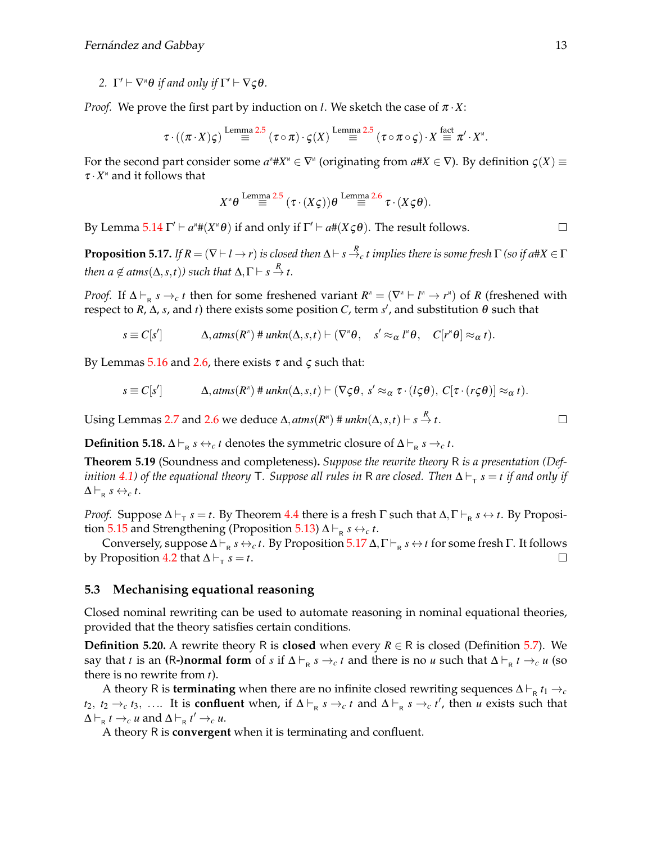2.  $\Gamma' \vdash \nabla^{\alpha} \theta$  *if and only if*  $\Gamma' \vdash \nabla \zeta \theta$ *.* 

*Proof.* We prove the first part by induction on *l*. We sketch the case of  $\pi \cdot X$ :

$$
\tau \cdot ((\pi \cdot X)\varsigma) \stackrel{\text{Lemma 2.5}}{=} (\tau \circ \pi) \cdot \varsigma(X) \stackrel{\text{Lemma 2.5}}{=} (\tau \circ \pi \circ \varsigma) \cdot X \stackrel{\text{fact}}{=} \pi' \cdot X''.
$$

For the second part consider some  $a^* \# X^* \in \nabla^*$  (originating from  $a \# X \in \nabla$ ). By definition  $\varsigma(X) \equiv$  $\tau \cdot X^{\mu}$  and it follows that

$$
X^{\mathsf{w}}\theta \stackrel{\text{Lemma 2.5}}{=} (\tau \cdot (X\varsigma))\theta \stackrel{\text{Lemma 2.6}}{=} \tau \cdot (X\varsigma\theta).
$$

By Lemma [5.14](#page-11-1)  $\Gamma' \vdash a^* \# (X^* \theta)$  if and only if  $\Gamma' \vdash a \# (X \varsigma \theta)$ . The result follows.

<span id="page-12-1"></span>**Proposition 5.17.** If  $R=(\nabla \vdash l \to r)$  is closed then  $\Delta \vdash s \stackrel{R}{\to} c$   $t$  implies there is some fresh  $\Gamma$  (so if a#X  $\in \Gamma$ *then*  $a \notin \text{atms}(\Delta, s, t)$ ) such that  $\Delta, \Gamma \vdash s \stackrel{R}{\rightarrow} t$ .

*Proof.* If  $\Delta \vdash_R s \to_c t$  then for some freshened variant  $R^{\text{M}} = (\nabla^{\text{M}} \vdash l^{\text{M}} \to r^{\text{M}})$  of *R* (freshened with respect to *R*, Δ, *s*, and *t*) there exists some position *C*, term *s'*, and substitution θ such that

$$
s \equiv C[s'] \qquad \qquad \Delta, \operatorname{atms}(R^{\mathsf{M}}) \# \operatorname{unkn}(\Delta, s, t) \vdash (\nabla^{\mathsf{M}} \theta, \quad s' \approx_{\alpha} l^{\mathsf{M}} \theta, \quad C[r^{\mathsf{M}} \theta] \approx_{\alpha} t).
$$

By Lemmas [5.16](#page-11-2) and [2.6,](#page-3-2) there exists  $\tau$  and  $\varsigma$  such that:

$$
s \equiv C[s'] \qquad \qquad \Delta, \text{atms}(R^*) \text{ $\#\$} \text{unkn}(\Delta, s, t) \vdash (\nabla \zeta \theta, s' \approx_\alpha \tau \cdot (l \zeta \theta), C[\tau \cdot (r \zeta \theta)] \approx_\alpha t).
$$

Using Lemmas [2.7](#page-3-3) and [2.6](#page-3-2) we deduce  $\Delta$ ,  $atms(R^n)$  #  $unkn(\Delta,s,t) \vdash s \stackrel{R}{\to} t$ .

**Definition 5.18.**  $\Delta \vdash_R s \leftrightarrow_c t$  denotes the symmetric closure of  $\Delta \vdash_R s \rightarrow_c t$ .

<span id="page-12-0"></span>**Theorem 5.19** (Soundness and completeness)**.** *Suppose the rewrite theory* R *is a presentation (Def* $i$ nition [4.1\)](#page-7-3) of the equational theory  $\sf{T}.$  Suppose all rules in  $\sf{R}$  are closed. Then  $\sf{\Delta}\vdash_\sf{T} s = t$  if and only if  $\Delta \vdash_{\mathsf{R}} s \leftrightarrow_c t$ .

*Proof.* Suppose  $\Delta \vdash_{\tau} s = t$ . By Theorem [4.4](#page-7-0) there is a fresh Γ such that  $\Delta, \Gamma \vdash_{\mathsf{R}} s \leftrightarrow t$ . By Proposi-tion [5.15](#page-11-0) and Strengthening (Proposition [5.13\)](#page-10-3)  $\Delta \vdash_{\mathsf{R}} s \leftrightarrow_c t$ .

Conversely, suppose  $\Delta \vdash_{R} s \leftrightarrow_c t$ . By Proposition [5.17](#page-12-1)  $\Delta, \Gamma \vdash_{R} s \leftrightarrow t$  for some fresh Γ. It follows by Proposition [4.2](#page-7-2) that  $\Delta \vdash_{\tau} s = t$ .  $\Box$ 

### **5.3 Mechanising equational reasoning**

Closed nominal rewriting can be used to automate reasoning in nominal equational theories, provided that the theory satisfies certain conditions.

**Definition 5.20.** A rewrite theory R is **closed** when every  $R \in \mathbb{R}$  is closed (Definition [5.7\)](#page-9-2). We say that *t* is an **(R-)normal form** of *s* if  $\Delta \vdash_{\mathsf{R}} s \to_{c} t$  and there is no *u* such that  $\Delta \vdash_{\mathsf{R}} t \to_{c} u$  (so there is no rewrite from *t*).

A theory R is **terminating** when there are no infinite closed rewriting sequences  $\Delta \vdash_{R} t_1 \rightarrow_c$ *t*<sub>2</sub>, *t*<sub>2</sub> →*c t*<sub>3</sub>, .... It is **confluent** when, if  $\Delta \vdash_R s \rightarrow_c t$  and  $\Delta \vdash_R s \rightarrow_c t'$ , then *u* exists such that  $\Delta \vdash_R t \to_c u$  and  $\Delta \vdash_R t' \to_c u$ .

A theory R is **convergent** when it is terminating and confluent.

 $\Box$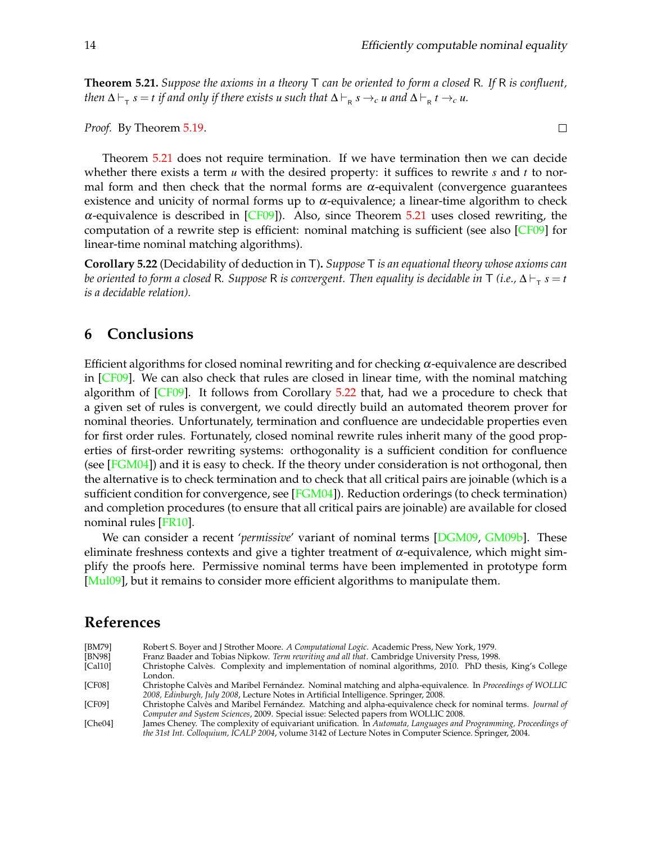<span id="page-13-7"></span>**Theorem 5.21.** *Suppose the axioms in a theory* T *can be oriented to form a closed* R*. If* R *is confluent,*  $t$ hen  $\Delta \vdash_{_{\sf T}} s = t$  if and only if there exists  $u$  such that  $\Delta \vdash_{_{\sf R}} s \to_{_C} u$  and  $\Delta \vdash_{_{\sf R}} t \to_{_C} u$ .

*Proof.* By Theorem [5.19.](#page-12-0)

Theorem [5.21](#page-13-7) does not require termination. If we have termination then we can decide whether there exists a term *u* with the desired property: it suffices to rewrite *s* and *t* to normal form and then check that the normal forms are  $\alpha$ -equivalent (convergence guarantees existence and unicity of normal forms up to  $\alpha$ -equivalence; a linear-time algorithm to check  $\alpha$ -equivalence is described in [\[CF09\]](#page-13-0)). Also, since Theorem [5.21](#page-13-7) uses closed rewriting, the computation of a rewrite step is efficient: nominal matching is sufficient (see also  $\lfloor$ CF09 $\rfloor$  for linear-time nominal matching algorithms).

<span id="page-13-8"></span>**Corollary 5.22** (Decidability of deduction in T)**.** *Suppose* T *is an equational theory whose axioms can be oriented to form a closed R. Suppose R is convergent. Then equality is decidable in T (i.e.,*  $\Delta\vdash_{_{\sf T}} s=t$ *is a decidable relation).*

## <span id="page-13-4"></span>**6 Conclusions**

Efficient algorithms for closed nominal rewriting and for checking  $\alpha$ -equivalence are described in [\[CF09\]](#page-13-0). We can also check that rules are closed in linear time, with the nominal matching algorithm of [\[CF09\]](#page-13-0). It follows from Corollary [5.22](#page-13-8) that, had we a procedure to check that a given set of rules is convergent, we could directly build an automated theorem prover for nominal theories. Unfortunately, termination and confluence are undecidable properties even for first order rules. Fortunately, closed nominal rewrite rules inherit many of the good properties of first-order rewriting systems: orthogonality is a sufficient condition for confluence (see  $[FGM04]$ ) and it is easy to check. If the theory under consideration is not orthogonal, then the alternative is to check termination and to check that all critical pairs are joinable (which is a sufficient condition for convergence, see  $[FGM04]$ ). Reduction orderings (to check termination) and completion procedures (to ensure that all critical pairs are joinable) are available for closed nominal rules [\[FR10\]](#page-14-27).

We can consider a recent '*permissive*' variant of nominal terms [\[DGM09,](#page-14-28) [GM09b\]](#page-14-7). These eliminate freshness contexts and give a tighter treatment of  $\alpha$ -equivalence, which might simplify the proofs here. Permissive nominal terms have been implemented in prototype form [\[Mul09\]](#page-14-29), but it remains to consider more efficient algorithms to manipulate them.

# **References**

<span id="page-13-6"></span><span id="page-13-5"></span><span id="page-13-3"></span><span id="page-13-2"></span><span id="page-13-1"></span><span id="page-13-0"></span>

| [BM79]  | Robert S. Boyer and J Strother Moore. A Computational Logic. Academic Press, New York, 1979.                    |
|---------|-----------------------------------------------------------------------------------------------------------------|
| [BN98]  | Franz Baader and Tobias Nipkow. Term rewriting and all that. Cambridge University Press, 1998.                  |
| [Cal10] | Christophe Calvès. Complexity and implementation of nominal algorithms, 2010. PhD thesis, King's College        |
|         | London.                                                                                                         |
| [CF08]  | Christophe Calvès and Maribel Fernández. Nominal matching and alpha-equivalence. In Proceedings of WOLLIC       |
|         | 2008, Edinburgh, July 2008, Lecture Notes in Artificial Intelligence. Springer, 2008.                           |
| [CF09]  | Christophe Calvès and Maribel Fernández. Matching and alpha-equivalence check for nominal terms. Journal of     |
|         | Computer and System Sciences, 2009. Special issue: Selected papers from WOLLIC 2008.                            |
| [Che04] | James Cheney. The complexity of equivariant unification. In Automata, Languages and Programming, Proceedings of |
|         | the 31st Int. Colloquium, ICALP 2004, volume 3142 of Lecture Notes in Computer Science. Springer, 2004.         |